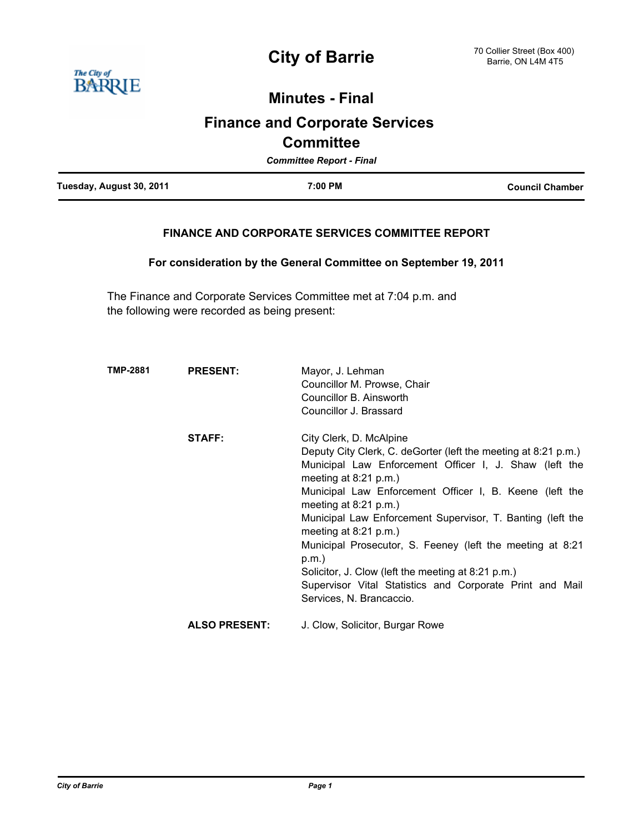

# **Minutes - Final**

# **Finance and Corporate Services Committee**

| <b>Committee Report - Final</b> |         |                        |  |
|---------------------------------|---------|------------------------|--|
| Tuesday, August 30, 2011        | 7:00 PM | <b>Council Chamber</b> |  |

# **FINANCE AND CORPORATE SERVICES COMMITTEE REPORT**

**For consideration by the General Committee on September 19, 2011**

The Finance and Corporate Services Committee met at 7:04 p.m. and the following were recorded as being present:

| TMP-2881 | <b>PRESENT:</b>      | Mayor, J. Lehman<br>Councillor M. Prowse, Chair<br>Councillor B. Ainsworth<br>Councillor J. Brassard                                                                                                                                                                                                                                                                                                                                                                                                                                                                             |
|----------|----------------------|----------------------------------------------------------------------------------------------------------------------------------------------------------------------------------------------------------------------------------------------------------------------------------------------------------------------------------------------------------------------------------------------------------------------------------------------------------------------------------------------------------------------------------------------------------------------------------|
|          | <b>STAFF:</b>        | City Clerk, D. McAlpine<br>Deputy City Clerk, C. deGorter (left the meeting at 8:21 p.m.)<br>Municipal Law Enforcement Officer I, J. Shaw (left the<br>meeting at $8:21$ p.m.)<br>Municipal Law Enforcement Officer I, B. Keene (left the<br>meeting at $8:21$ p.m.)<br>Municipal Law Enforcement Supervisor, T. Banting (left the<br>meeting at $8:21$ p.m.)<br>Municipal Prosecutor, S. Feeney (left the meeting at 8:21<br>p.m.<br>Solicitor, J. Clow (left the meeting at 8:21 p.m.)<br>Supervisor Vital Statistics and Corporate Print and Mail<br>Services, N. Brancaccio. |
|          | <b>ALSO PRESENT:</b> | J. Clow, Solicitor, Burgar Rowe                                                                                                                                                                                                                                                                                                                                                                                                                                                                                                                                                  |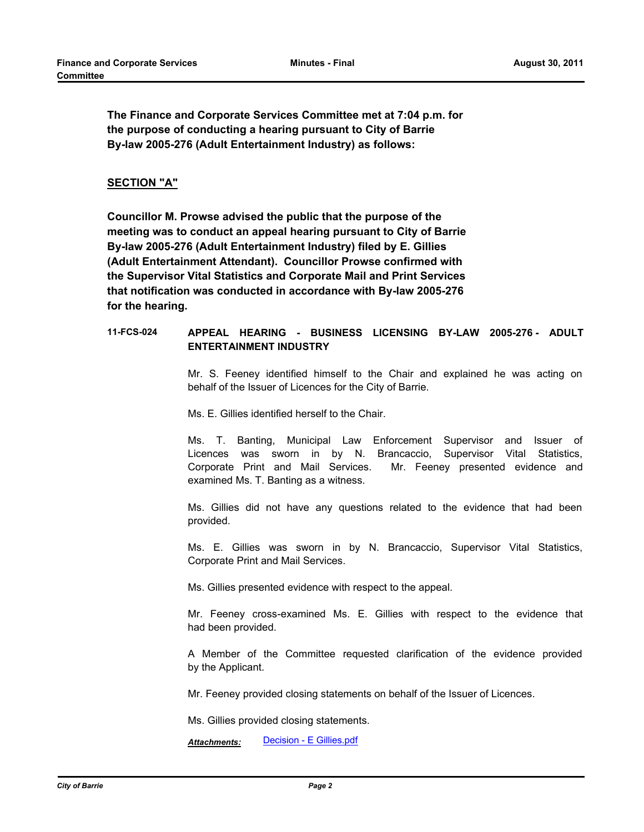**The Finance and Corporate Services Committee met at 7:04 p.m. for the purpose of conducting a hearing pursuant to City of Barrie By-law 2005-276 (Adult Entertainment Industry) as follows:**

## **SECTION "A"**

**Councillor M. Prowse advised the public that the purpose of the meeting was to conduct an appeal hearing pursuant to City of Barrie By-law 2005-276 (Adult Entertainment Industry) filed by E. Gillies (Adult Entertainment Attendant). Councillor Prowse confirmed with the Supervisor Vital Statistics and Corporate Mail and Print Services that notification was conducted in accordance with By-law 2005-276 for the hearing.**

## **11-FCS-024 APPEAL HEARING - BUSINESS LICENSING BY-LAW 2005-276 - ADULT ENTERTAINMENT INDUSTRY**

Mr. S. Feeney identified himself to the Chair and explained he was acting on behalf of the Issuer of Licences for the City of Barrie.

Ms. E. Gillies identified herself to the Chair.

Ms. T. Banting, Municipal Law Enforcement Supervisor and Issuer of Licences was sworn in by N. Brancaccio, Supervisor Vital Statistics, Corporate Print and Mail Services. Mr. Feeney presented evidence and examined Ms. T. Banting as a witness.

Ms. Gillies did not have any questions related to the evidence that had been provided.

Ms. E. Gillies was sworn in by N. Brancaccio, Supervisor Vital Statistics, Corporate Print and Mail Services.

Ms. Gillies presented evidence with respect to the appeal.

Mr. Feeney cross-examined Ms. E. Gillies with respect to the evidence that had been provided.

A Member of the Committee requested clarification of the evidence provided by the Applicant.

Mr. Feeney provided closing statements on behalf of the Issuer of Licences.

Ms. Gillies provided closing statements.

*Attachments:* [Decision - E Gillies.pdf](http://barrie.legistar.com/gateway.aspx?M=F&ID=412e4af5-045a-42cb-afeb-c5af60bf7f75.pdf)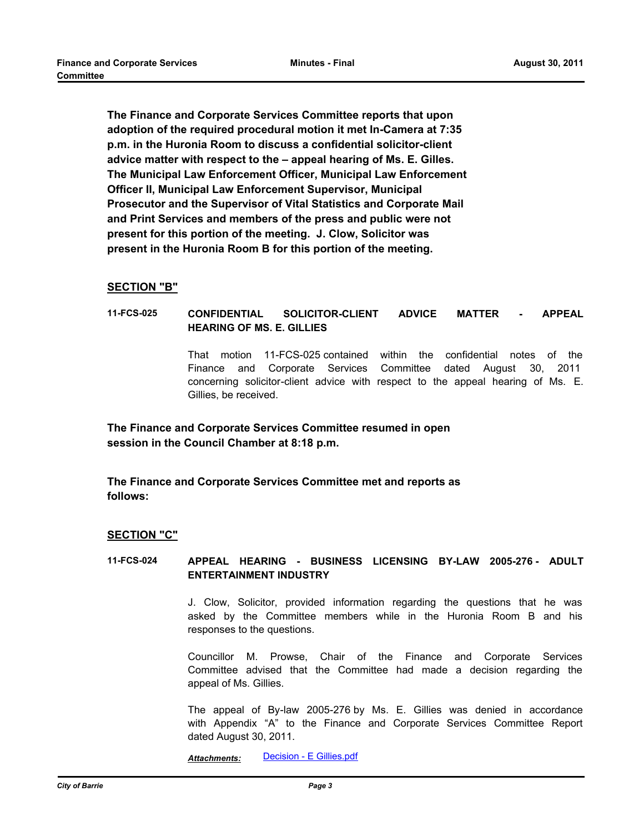**The Finance and Corporate Services Committee reports that upon adoption of the required procedural motion it met In-Camera at 7:35 p.m. in the Huronia Room to discuss a confidential solicitor-client advice matter with respect to the – appeal hearing of Ms. E. Gilles. The Municipal Law Enforcement Officer, Municipal Law Enforcement Officer II, Municipal Law Enforcement Supervisor, Municipal Prosecutor and the Supervisor of Vital Statistics and Corporate Mail and Print Services and members of the press and public were not present for this portion of the meeting. J. Clow, Solicitor was present in the Huronia Room B for this portion of the meeting.**

#### **SECTION "B"**

#### **11-FCS-025 CONFIDENTIAL SOLICITOR-CLIENT ADVICE MATTER - APPEAL HEARING OF MS. E. GILLIES**

That motion 11-FCS-025 contained within the confidential notes of the Finance and Corporate Services Committee dated August 30, 2011 concerning solicitor-client advice with respect to the appeal hearing of Ms. E. Gillies, be received.

**The Finance and Corporate Services Committee resumed in open session in the Council Chamber at 8:18 p.m.**

**The Finance and Corporate Services Committee met and reports as follows:**

#### **SECTION "C"**

#### **11-FCS-024 APPEAL HEARING - BUSINESS LICENSING BY-LAW 2005-276 - ADULT ENTERTAINMENT INDUSTRY**

J. Clow, Solicitor, provided information regarding the questions that he was asked by the Committee members while in the Huronia Room B and his responses to the questions.

Councillor M. Prowse, Chair of the Finance and Corporate Services Committee advised that the Committee had made a decision regarding the appeal of Ms. Gillies.

The appeal of By-law 2005-276 by Ms. E. Gillies was denied in accordance with Appendix "A" to the Finance and Corporate Services Committee Report dated August 30, 2011.

*Attachments:* [Decision - E Gillies.pdf](http://barrie.legistar.com/gateway.aspx?M=F&ID=412e4af5-045a-42cb-afeb-c5af60bf7f75.pdf)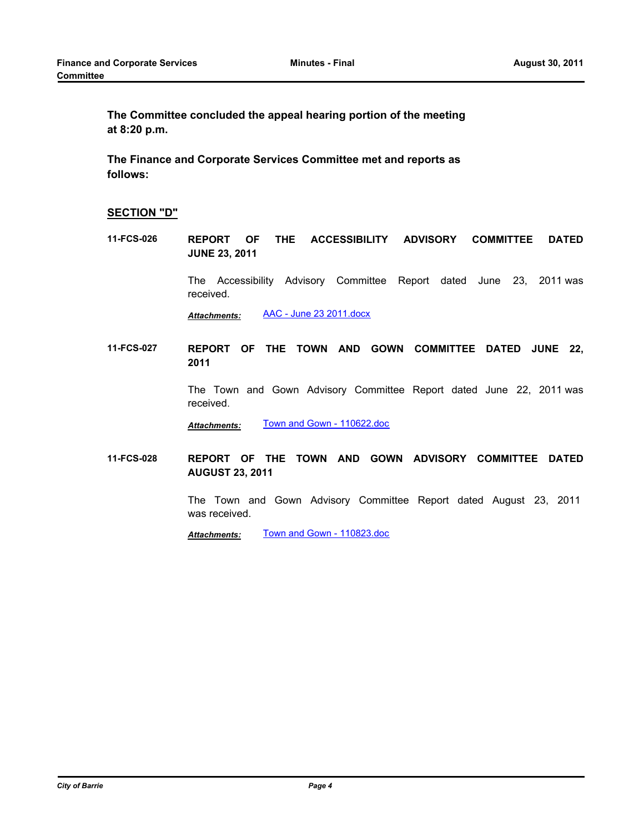**The Committee concluded the appeal hearing portion of the meeting at 8:20 p.m.**

**The Finance and Corporate Services Committee met and reports as follows:**

# **SECTION "D"**

**11-FCS-026 REPORT OF THE ACCESSIBILITY ADVISORY COMMITTEE DATED JUNE 23, 2011**

> The Accessibility Advisory Committee Report dated June 23, 2011 was received.

*Attachments:* [AAC - June 23 2011.docx](http://barrie.legistar.com/gateway.aspx?M=F&ID=095aa616-8350-426e-ba56-b5e89f688cbe.docx)

**11-FCS-027 REPORT OF THE TOWN AND GOWN COMMITTEE DATED JUNE 22, 2011** 

> The Town and Gown Advisory Committee Report dated June 22, 2011 was received.

*Attachments:* [Town and Gown - 110622.doc](http://barrie.legistar.com/gateway.aspx?M=F&ID=8c850f47-cf90-488a-95e1-64a71ea31692.doc)

**11-FCS-028 REPORT OF THE TOWN AND GOWN ADVISORY COMMITTEE DATED AUGUST 23, 2011**

> The Town and Gown Advisory Committee Report dated August 23, 2011 was received.

*Attachments:* [Town and Gown - 110823.doc](http://barrie.legistar.com/gateway.aspx?M=F&ID=b1b3dfa1-3b71-42ca-8d90-bb956cc84897.doc)